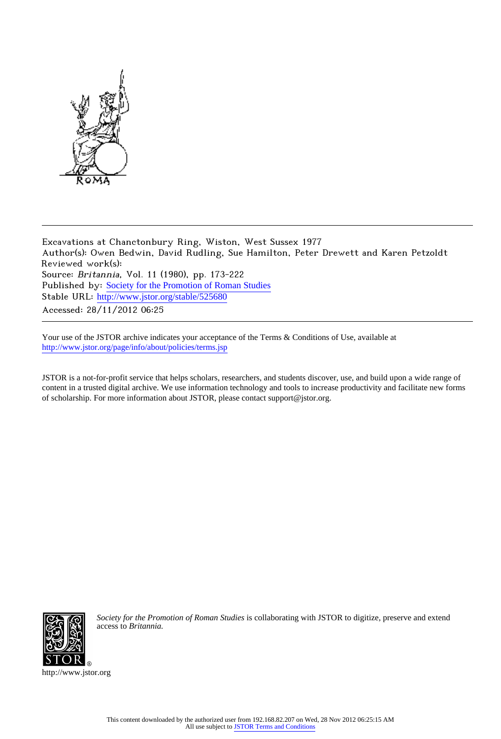

Excavations at Chanctonbury Ring, Wiston, West Sussex 1977 Author(s): Owen Bedwin, David Rudling, Sue Hamilton, Peter Drewett and Karen Petzoldt Reviewed work(s): Source: Britannia, Vol. 11 (1980), pp. 173-222 Published by: [Society for the Promotion of Roman Studies](http://www.jstor.org/action/showPublisher?publisherCode=sprs) Stable URL: http://www.jstor.org/stable/525680 Accessed: 28/11/2012 06:25

Your use of the JSTOR archive indicates your acceptance of the Terms & Conditions of Use, available at <http://www.jstor.org/page/info/about/policies/terms.jsp>

JSTOR is a not-for-profit service that helps scholars, researchers, and students discover, use, and build upon a wide range of content in a trusted digital archive. We use information technology and tools to increase productivity and facilitate new forms of scholarship. For more information about JSTOR, please contact support@jstor.org.



*Society for the Promotion of Roman Studies* is collaborating with JSTOR to digitize, preserve and extend access to *Britannia.*

http://www.jstor.org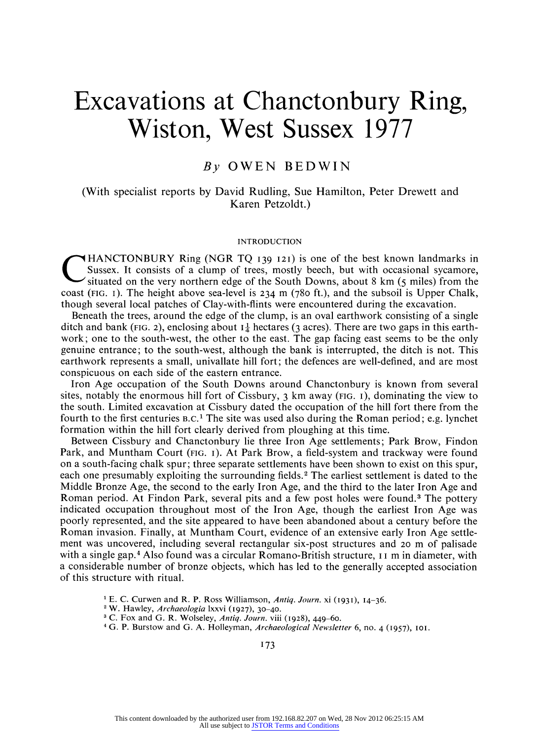# **Excavations at Chanctonbury Ring, Wiston, West Sussex <sup>1977</sup>**

### **By OWEN BEDWIN**

### **(With specialist reports by David Rudling, Sue Hamilton, Peter Drewett and Karen Petzoldt.)**

### **INTRODUCTION**

**HANCTONBURY Ring (NGR TQ 139 121) is one of the best known landmarks in Sussex. It consists of a clump of trees, mostly beech, but with occasional sycamore, situated on the very northern edge of the South Downs, about 8 km (5 miles) from the coast (FIG. I). The height above sea-level is 234 m (780 ft.), and the subsoil is Upper Chalk, though several local patches of Clay-with-flints were encountered during the excavation.** 

**Beneath the trees, around the edge of the clump, is an oval earthwork consisting of a single**  ditch and bank (FIG. 2), enclosing about  $I_{\tau}^{\perp}$  hectares (3 acres). There are two gaps in this earth**work; one to the south-west, the other to the east. The gap facing east seems to be the only genuine entrance; to the south-west, although the bank is interrupted, the ditch is not. This earthwork represents a small, univallate hill fort; the defences are well-defined, and are most conspicuous on each side of the eastern entrance.** 

**Iron Age occupation of the South Downs around Chanctonbury is known from several sites, notably the enormous hill fort of Cissbury, 3 km away (FIG. I), dominating the view to the south. Limited excavation at Cissbury dated the occupation of the hill fort there from the fourth to the first centuries B.C.1 The site was used also during the Roman period; e.g. lynchet formation within the hill fort clearly derived from ploughing at this time.** 

**Between Cissbury and Chanctonbury lie three Iron Age settlements; Park Brow, Findon Park, and Muntham Court (FIG. I). At Park Brow, a field-system and trackway were found on a south-facing chalk spur; three separate settlements have been shown to exist on this spur, each one presumably exploiting the surrounding fields.2 The earliest settlement is dated to the Middle Bronze Age, the second to the early Iron Age, and the third to the later Iron Age and Roman period. At Findon Park, several pits and a few post holes were found.3 The pottery indicated occupation throughout most of the Iron Age, though the earliest Iron Age was poorly represented, and the site appeared to have been abandoned about a century before the Roman invasion. Finally, at Muntham Court, evidence of an extensive early Iron Age settlement was uncovered, including several rectangular six-post structures and 20 m of palisade with a single gap.4 Also found was a circular Romano-British structure, I I m in diameter, with a considerable number of bronze objects, which has led to the generally accepted association of this structure with ritual.** 

**<sup>1</sup>E. C. Curwen and R. P. Ross Williamson, Antiq. Journ. xi (193i), 14-36.** 

- **<sup>2</sup>W. Hawley, Archaeologia lxxvi (1927), 3o-4o.**
- **3 C. Fox and G. R. Wolseley, Antiq. Journ. viii (1928), 449-60.**
- <sup>4</sup> G. P. Burstow and G. A. Holleyman, Archaeological Newsletter 6, no. 4 (1957), 101.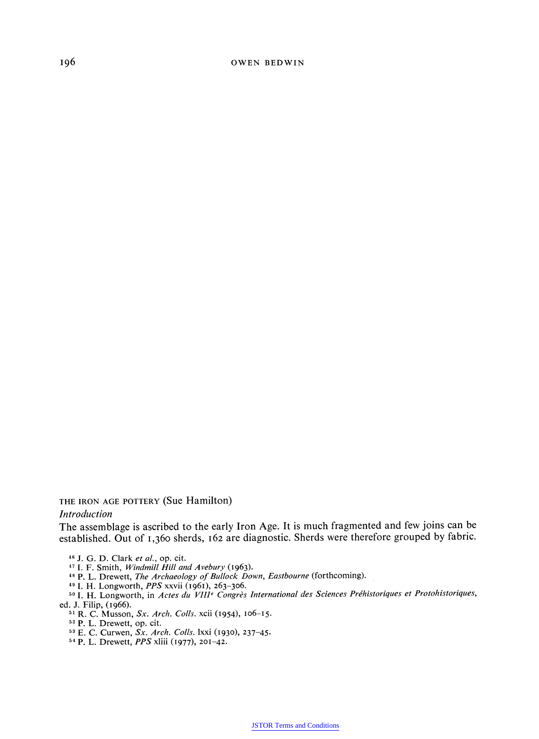**196 OWEN BEDWIN** 

**THE IRON AGE POTTERY (Sue Hamilton)** 

### **Introduction**

**The assemblage is ascribed to the early Iron Age. It is much fragmented and few joins can be established. Out of 1,36o sherds, 162 are diagnostic. Sherds were therefore grouped by fabric.** 

**<sup>46</sup>J. G. D. Clark et al., op. cit.** 

**7 I. F. Smith, Windmill Hill and Avebury (1963).** 

**<sup>48</sup>P. L. Drewett, The Archaeology of Bullock Down, Eastbourne (forthcoming).** 

**<sup>49</sup>I. H. Longworth, PPS xxvii (1961), 263-306.** 

<sup>50</sup> **I. H. Longworth, in Actes du VIII<sup>e</sup> Congrès International des Sciences Préhistoriques et Protohistoriques, <br>Lettin (1966) ed. J. Filip, (1966).** 

**<sup>51</sup>R. C. Musson, Sx. Arch. Coils. xcii (1954), lo6-15. <sup>52</sup>P. L. Drewett, op. cit.** 

**,3 E. C. Curwen, Sx. Arch. Colls. lxxi (1930), 237-45.** 

**54 P. L. Drewett, PPS xliii (1977), 201-42.**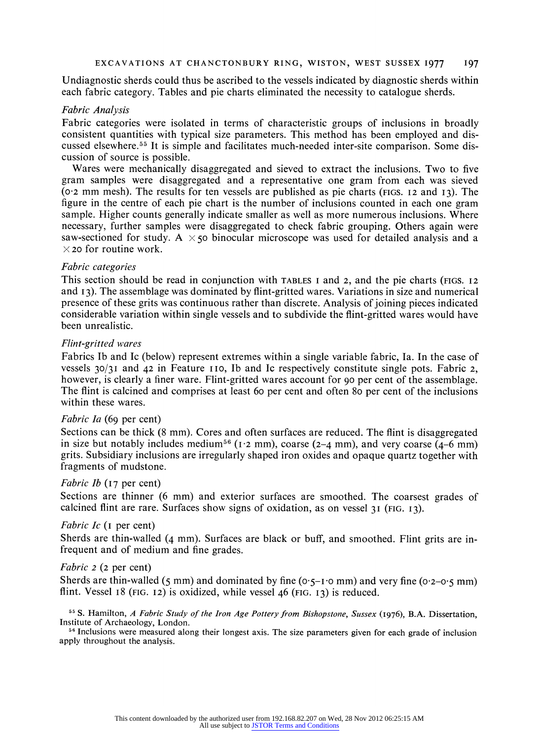**Undiagnostic sherds could thus be ascribed to the vessels indicated by diagnostic sherds within each fabric category. Tables and pie charts eliminated the necessity to catalogue sherds.** 

### **Fabric Analysis**

**Fabric categories were isolated in terms of characteristic groups of inclusions in broadly consistent quantities with typical size parameters. This method has been employed and discussed elsewhere.55 It is simple and facilitates much-needed inter-site comparison. Some discussion of source is possible.** 

**Wares were mechanically disaggregated and sieved to extract the inclusions. Two to five gram samples were disaggregated and a representative one gram from each was sieved (o02 mm mesh). The results for ten vessels are published as pie charts (FIGS. 12 and 13). The figure in the centre of each pie chart is the number of inclusions counted in each one gram sample. Higher counts generally indicate smaller as well as more numerous inclusions. Where necessary, further samples were disaggregated to check fabric grouping. Others again were**  saw-sectioned for study. A  $\times$  50 binocular microscope was used for detailed analysis and a  $\times$  **20** for routine work.

### **Fabric categories**

**This section should be read in conjunction with TABLES I and 2, and the pie charts (FIGS. 12 and 13). The assemblage was dominated by flint-gritted wares. Variations in size and numerical presence of these grits was continuous rather than discrete. Analysis of joining pieces indicated considerable variation within single vessels and to subdivide the flint-gritted wares would have been unrealistic.** 

### **Flint-gritted wares**

**Fabrics Ib and Ic (below) represent extremes within a single variable fabric, Ia. In the case of vessels 30/31 and 42 in Feature I Io, Ib and Ic respectively constitute single pots. Fabric 2, however, is clearly a finer ware. Flint-gritted wares account for 90 per cent of the assemblage. The flint is calcined and comprises at least 6o per cent and often 8o per cent of the inclusions within these wares.** 

### **Fabric Ia (69 per cent)**

**Sections can be thick (8 mm). Cores and often surfaces are reduced. The flint is disaggregated**  in size but notably includes medium<sup>56</sup> ( $I \cdot 2$  mm), coarse  $(2-4$  mm), and very coarse  $(4-6$  mm) **grits. Subsidiary inclusions are irregularly shaped iron oxides and opaque quartz together with fragments of mudstone.** 

### **Fabric Ib (17 per cent)**

**Sections are thinner (6 mm) and exterior surfaces are smoothed. The coarsest grades of calcined flint are rare. Surfaces show signs of oxidation, as on vessel 31 (FIG. 13).** 

### **Fabric Ic (I per cent)**

**Sherds are thin-walled (4 mm). Surfaces are black or buff, and smoothed. Flint grits are infrequent and of medium and fine grades.** 

### **Fabric 2 (2 per cent)**

Sherds are thin-walled  $(5 \text{ mm})$  and dominated by fine  $(0.5 - 1.0 \text{ mm})$  and very fine  $(0.2 - 0.5 \text{ mm})$ **flint. Vessel 18 (FIG. 12) is oxidized, while vessel 46 (FIG. 13) is reduced.** 

**55S. Hamilton, A Fabric Study of the Iron Age Pottery from Bishopstone, Sussex (1976), B.A. Dissertation, Institute of Archaeology, London.** 

**<sup>56</sup>Inclusions were measured along their longest axis. The size parameters given for each grade of inclusion apply throughout the analysis.**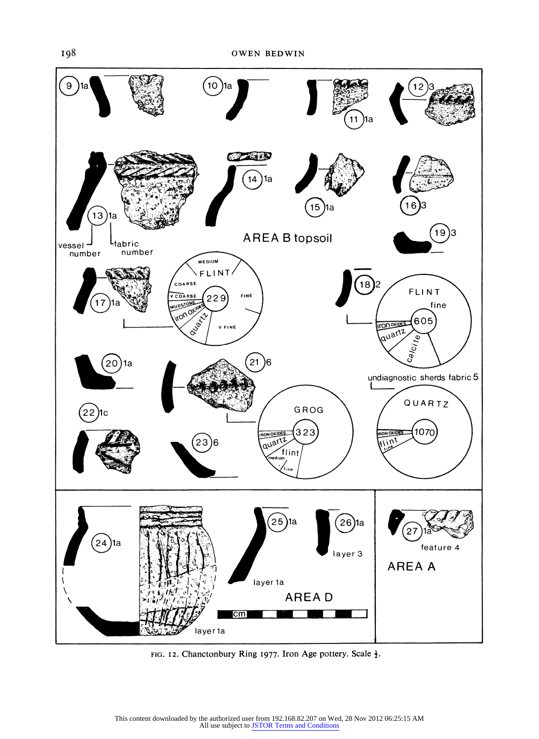

FIG. 12. Chanctonbury Ring 1977. Iron Age pottery. Scale  $\frac{1}{2}$ .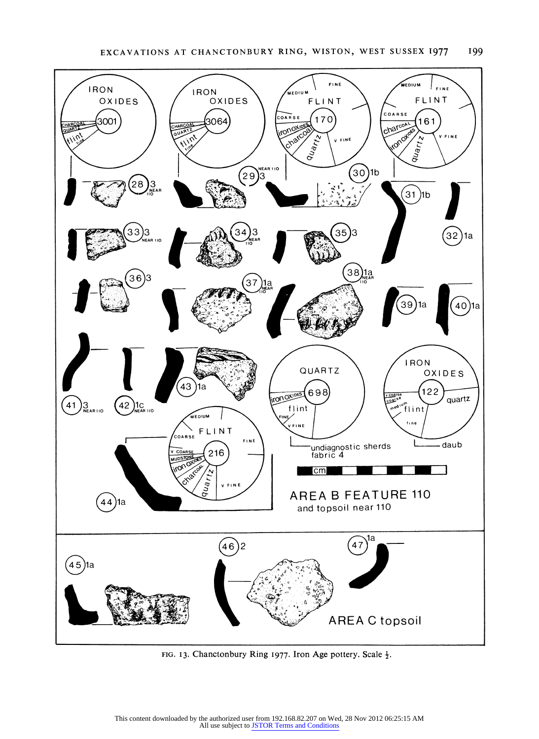

FIG. 13. Chanctonbury Ring 1977. Iron Age pottery. Scale  $\frac{1}{2}$ .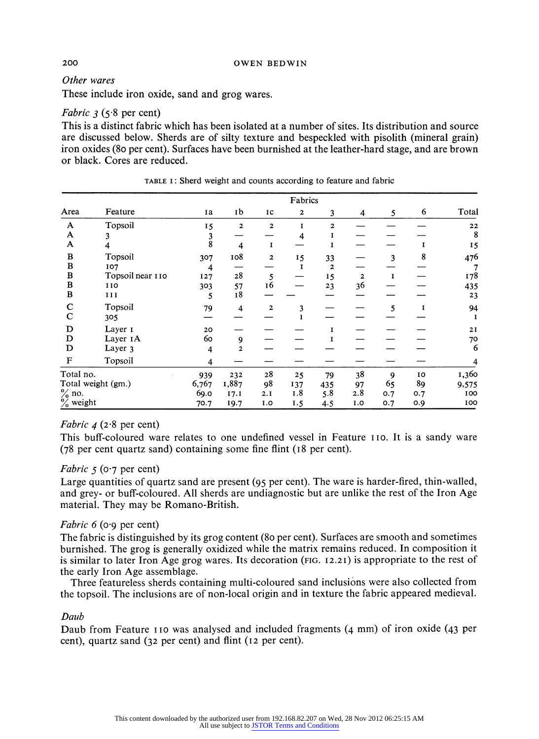### **Other wares**

**These include iron oxide, sand and grog wares.** 

### **Fabric 3 (5-8 per cent)**

**This is a distinct fabric which has been isolated at a number of sites. Its distribution and source are discussed below. Sherds are of silty texture and bespeckled with pisolith (mineral grain) iron oxides (8o per cent). Surfaces have been burnished at the leather-hard stage, and are brown or black. Cores are reduced.** 

|                      |                     |                    |                         |                         | Fabrics      |                |              |     |     |             |
|----------------------|---------------------|--------------------|-------------------------|-------------------------|--------------|----------------|--------------|-----|-----|-------------|
| Area                 | Feature             | Ia                 | 1b                      | IC                      | $\mathbf{2}$ | 3              | 4            | 5   | 6   | Total       |
| A                    | Topsoil             | 15                 | $\mathbf{2}$            | $\mathbf{2}$            | I            | $\overline{2}$ |              |     |     | 22          |
| A                    | 3                   |                    |                         |                         | 4            | 1              |              |     |     | 8           |
| A                    | 4                   | $\frac{3}{8}$      | 4                       | 1                       |              | 1              |              |     |     | 15          |
| B                    | Topsoil             | 307                | 108                     | $\overline{\mathbf{c}}$ | I5           | 33             |              | 3   | 8   | 476         |
| $\bf{B}$             | 107                 | $\overline{\bf 4}$ |                         |                         | I            | $\mathbf{z}$   |              |     |     |             |
| $\, {\bf B}$         | Topsoil near 110    | 127                | 28                      | 5                       |              | 15             | $\mathbf{2}$ | I   |     | 178         |
| $\, {\bf B}$         | 110                 | 303                | 57                      | 16                      |              | 23             | 36           |     |     | 435         |
| $\bf{B}$             | II                  | 5                  | 18                      |                         |              |                |              |     |     | 23          |
| $\mathbf C$          | Topsoil             | 79                 | $\overline{\mathbf{4}}$ | $\overline{2}$          | 3            |                |              | 5   | I   | 94          |
| $\mathbf C$          | 305                 |                    |                         |                         |              |                |              |     |     | $\mathbf I$ |
| D                    | Layer 1             | 20                 |                         |                         |              | T              |              |     |     | 2I          |
| D                    | Layer <sub>IA</sub> | 60                 | 9                       |                         |              |                |              |     |     | 70          |
| D                    | Layer 3             | $\overline{4}$     | 2                       |                         |              |                |              |     |     | 6           |
| $\mathbf F$          | Topsoil             | 4                  |                         |                         |              |                |              |     |     |             |
| Total no.            |                     | 939                | 232                     | 28                      | 25           | 79             | 38           | 9   | 10  | 1,360       |
| Total weight (gm.)   |                     | 6,767              | 1,887                   | 98                      | 137          | 435            | 97           | 65  | 89  | 9,575       |
| $\%$ no.             |                     | 69.0               | 17.1                    | 2.I                     | 1.8          | 5.8            | 2.8          | 0.7 | 0.7 | 100         |
| $\frac{6}{6}$ weight |                     | 70.7               | 19.7                    | I.0                     | I.5          | 4.5            | I.O          | 0.7 | 0.9 | 100         |

**TABLE I: Sherd weight and counts according to feature and fabric** 

### **Fabric 4 (2-8 per cent)**

**This buff-coloured ware relates to one undefined vessel in Feature IIo. It is a sandy ware (78 per cent quartz sand) containing some fine flint (18 per cent).** 

### **Fabric 5 (0-7 per cent)**

**Large quantities of quartz sand are present (95 per cent). The ware is harder-fired, thin-walled, and grey- or buff-coloured. All sherds are undiagnostic but are unlike the rest of the Iron Age material. They may be Romano-British.** 

## **Fabric 6 (o'9 per cent)**

**The fabric is distinguished by its grog content (8o per cent). Surfaces are smooth and sometimes burnished. The grog is generally oxidized while the matrix remains reduced. In composition it is similar to later Iron Age grog wares. Its decoration (FIG. 12.21) is appropriate to the rest of the early Iron Age assemblage.** 

**Three featureless sherds containing multi-coloured sand inclusions were also collected from the topsoil. The inclusions are of non-local origin and in texture the fabric appeared medieval.** 

### **Daub**

**Daub from Feature I Io was analysed and included fragments (4 mm) of iron oxide (43 per cent), quartz sand (32 per cent) and flint (12 per cent).**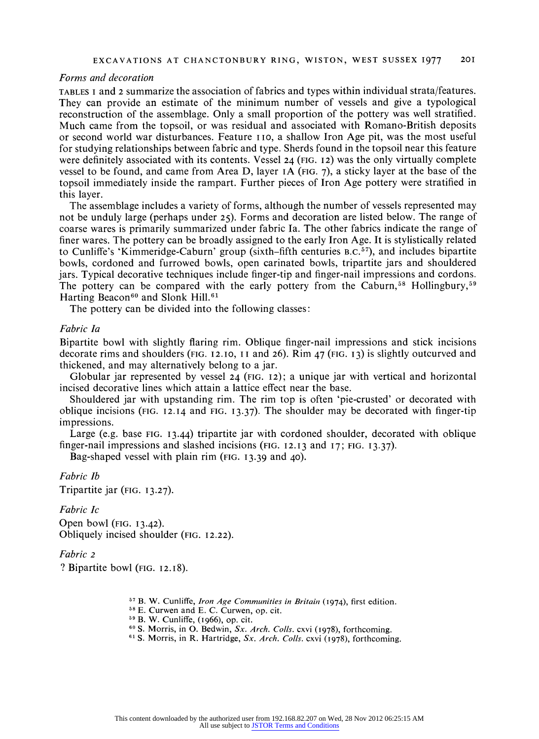### **EXCAVATIONS AT CHANCTONBURY RING, WISTON, WEST SUSSEX 1977 20I**

### **Forms and decoration**

**TABLES <sup>I</sup>and 2 summarize the association of fabrics and types within individual strata/features. They can provide an estimate of the minimum number of vessels and give a typological reconstruction of the assemblage. Only a small proportion of the pottery was well stratified. Much came from the topsoil, or was residual and associated with Romano-British deposits or second world war disturbances. Feature I io, a shallow Iron Age pit, was the most useful for studying relationships between fabric and type. Sherds found in the topsoil near this feature were definitely associated with its contents. Vessel 24 (FIG. 12) was the only virtually complete vessel to be found, and came from Area D, layer IA (FIG. 7), a sticky layer at the base of the topsoil immediately inside the rampart. Further pieces of Iron Age pottery were stratified in this layer.** 

**The assemblage includes a variety of forms, although the number of vessels represented may not be unduly large (perhaps under 25). Forms and decoration are listed below. The range of coarse wares is primarily summarized under fabric Ia. The other fabrics indicate the range of finer wares. The pottery can be broadly assigned to the early Iron Age. It is stylistically related to Cunliffe's 'Kimmeridge-Caburn' group (sixth-fifth centuries B.C.57), and includes bipartite bowls, cordoned and furrowed bowls, open carinated bowls, tripartite jars and shouldered jars. Typical decorative techniques include finger-tip and finger-nail impressions and cordons.**  The pottery can be compared with the early pottery from the Caburn,<sup>58</sup> Hollingbury,<sup>59</sup> Harting Beacon<sup>60</sup> and Slonk Hill.<sup>61</sup>

**The pottery can be divided into the following classes:** 

### **Fabric Ia**

**Bipartite bowl with slightly flaring rim. Oblique finger-nail impressions and stick incisions decorate rims and shoulders (FIG. 12.10, II and 26). Rim 47 (FIG. 13) is slightly outcurved and thickened, and may alternatively belong to a jar.** 

**Globular jar represented by vessel 24 (FIG. 12); a unique jar with vertical and horizontal incised decorative lines which attain a lattice effect near the base.** 

**Shouldered jar with upstanding rim. The rim top is often 'pie-crusted' or decorated with oblique incisions (FIG. 12.14 and FIG. 13.37). The shoulder may be decorated with finger-tip impressions.** 

**Large (e.g. base FIG. 13.44) tripartite jar with cordoned shoulder, decorated with oblique finger-nail impressions and slashed incisions (FIG. 12.13 and 17; FIG. 13.37).** 

**Bag-shaped vessel with plain rim (FIG. 13.39 and 40).** 

**Fabric Ib Tripartite jar (FIG. 13.27).** 

### **Fabric Ic**

**Open bowl (FIG. 13.42). Obliquely incised shoulder (FIG. 12.22).** 

### **Fabric 2**

**? Bipartite bowl (FIG. 12.18).** 

- <sup>57</sup> B. W. Cunliffe, *Iron Age Communities in Britain* (1974), first edition. <sup>58</sup> E. Curwen and E. C. Curwen, op. cit.
- 
- **19 B. W. Cunliffe, (1966), op. cit.**
- <sup>60</sup> S. Morris, in O. Bedwin, *Sx. Arch. Colls.* cxvi (1978), forthcoming.
- **<sup>61</sup>S. Morris, in R. Hartridge, Sx. Arch. Colls. cxvi (1978), forthcoming.**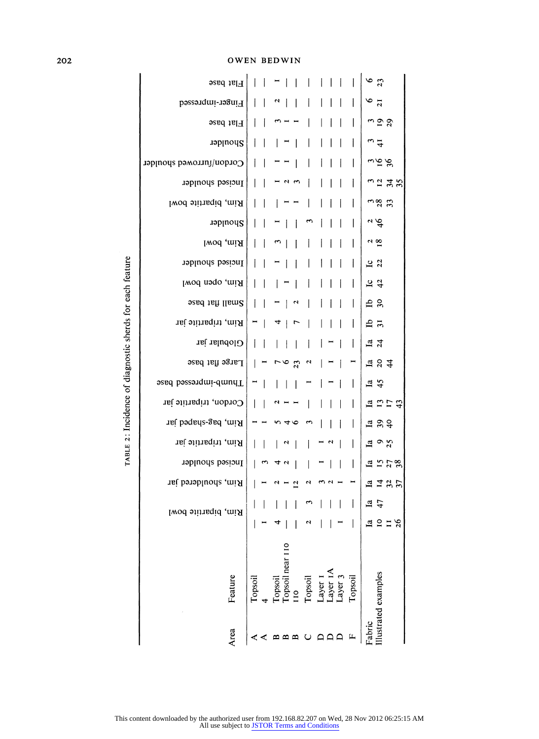**OWEN BEDWIN** 

|                                                          | Flat base                               | $6\overline{3}$                                                                                                                                              |
|----------------------------------------------------------|-----------------------------------------|--------------------------------------------------------------------------------------------------------------------------------------------------------------|
|                                                          | Finger-impressed                        | $\frac{6}{21}$<br>U                                                                                                                                          |
|                                                          | Flat base                               | <u> రేద</u>                                                                                                                                                  |
|                                                          | Shoulder                                | $\overline{a}$                                                                                                                                               |
|                                                          | Cordon/furrowed shoulder                | 25                                                                                                                                                           |
|                                                          | Incised shoulder                        | n2 # \$<br>$\mathbf{a}$                                                                                                                                      |
|                                                          | Rim, bipartite bowl                     | ಎಜೆ ಬ                                                                                                                                                        |
|                                                          | Shoulder                                | $\frac{3}{4}$                                                                                                                                                |
|                                                          | Rim, bowl                               | $\frac{2}{18}$                                                                                                                                               |
|                                                          | Incised shoulder                        | $\frac{1}{2}$                                                                                                                                                |
| TABLE 2: Incidence of diagnostic sherds for each feature | Rim, open bowl                          | $\frac{1}{4}$                                                                                                                                                |
|                                                          | Small flat base                         | 28<br>N                                                                                                                                                      |
|                                                          | Rim, tripartite jar                     | $\frac{1}{2}$<br>Η<br>ᢦ<br>r,                                                                                                                                |
|                                                          | Globular jar                            | $\frac{1}{2}$ $\frac{3}{4}$                                                                                                                                  |
|                                                          | Large flat base<br>Thumb-impressed base | 784<br>Η<br>७<br>23<br>$\mathbf{\hat{z}}$<br>r                                                                                                               |
|                                                          |                                         | $\frac{1a}{45}$<br>Ξ                                                                                                                                         |
|                                                          | Cordon, tripartite jar                  | 13774                                                                                                                                                        |
|                                                          | Rim, bag-shaped jar                     | $\frac{1}{2}$ $\frac{1}{2}$ $\frac{1}{2}$<br>७<br>n 4                                                                                                        |
|                                                          | Rim, tripartite jar                     | $\frac{1}{4}$ $\frac{9}{2}$<br>$\mathbf{a}$<br>u                                                                                                             |
|                                                          | Incised shoulder                        | 1578<br>$\mathbf{r}$<br>44                                                                                                                                   |
|                                                          | Rim, shouldered jar                     | E 725<br>м<br>$\mathbf{v}$                                                                                                                                   |
|                                                          | Rim, bipartite bowl                     | $\frac{1}{4}$                                                                                                                                                |
|                                                          |                                         | $\frac{a}{b}$<br>11/26<br>ч                                                                                                                                  |
|                                                          | Feature                                 | Topsoil near 110<br>Layer 1A<br>Illustrated examples<br>Topsoil<br>Layer 3<br>Topsoil<br>Topsoil<br>Layer 1<br>Topsoil<br>$\overline{110}$<br>$\overline{4}$ |
|                                                          | Area                                    | Fabric<br>$\Box$<br>$\begin{array}{c}\n\Box \\ \Box\n\end{array}$<br>$\mathbf{L}$<br>$\mathbf{r}$<br>$m$ $m$<br>$\cup$<br>≺<br>≺                             |

202